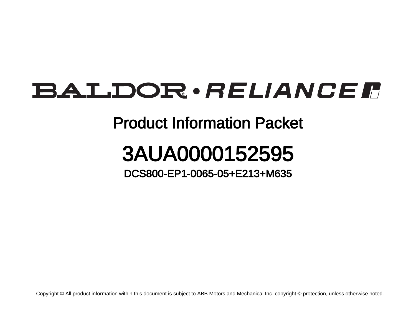## BALDOR · RELIANCE F

## Product Information Packet

## 3AUA0000152595

DCS800-EP1-0065-05+E213+M635

Copyright © All product information within this document is subject to ABB Motors and Mechanical Inc. copyright © protection, unless otherwise noted.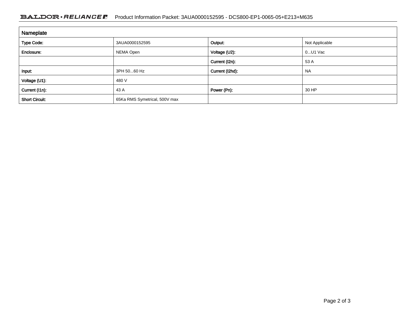## BALDOR · RELIANCE F Product Information Packet: 3AUA0000152595 - DCS800-EP1-0065-05+E213+M635

| Nameplate             |                               |                 |                |
|-----------------------|-------------------------------|-----------------|----------------|
| <b>Type Code:</b>     | 3AUA0000152595                | Output:         | Not Applicable |
| Enclosure:            | NEMA Open                     | Voltage (U2):   | $0$ U1 Vac     |
|                       |                               | Current (I2n):  | 53 A           |
| Input:                | 3PH 5060 Hz                   | Current (I2hd): | <b>NA</b>      |
| Voltage (U1):         | 480 V                         |                 |                |
| Current (I1n):        | 43 A                          | Power (Pn):     | 30 HP          |
| <b>Short Circuit:</b> | 65Ka RMS Symetrical, 500V max |                 |                |